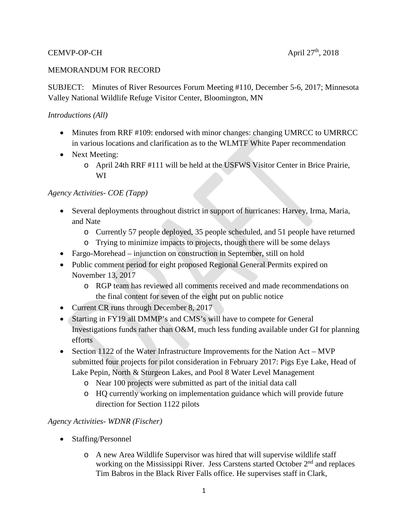## CEMVP-OP-CH  $\Delta$ pril 27<sup>th</sup>, 2018

#### MEMORANDUM FOR RECORD

SUBJECT: Minutes of River Resources Forum Meeting #110, December 5-6, 2017; Minnesota Valley National Wildlife Refuge Visitor Center, Bloomington, MN

#### *Introductions (All)*

- Minutes from RRF #109: endorsed with minor changes: changing UMRCC to UMRRCC in various locations and clarification as to the WLMTF White Paper recommendation
- Next Meeting:
	- o April 24th RRF #111 will be held at the USFWS Visitor Center in Brice Prairie, WI

## *Agency Activities- COE (Tapp)*

- Several deployments throughout district in support of hurricanes: Harvey, Irma, Maria, and Nate
	- o Currently 57 people deployed, 35 people scheduled, and 51 people have returned
	- o Trying to minimize impacts to projects, though there will be some delays
- Fargo-Morehead injunction on construction in September, still on hold
- Public comment period for eight proposed Regional General Permits expired on November 13, 2017
	- o RGP team has reviewed all comments received and made recommendations on the final content for seven of the eight put on public notice
- Current CR runs through December 8, 2017
- Starting in FY19 all DMMP's and CMS's will have to compete for General Investigations funds rather than O&M, much less funding available under GI for planning efforts
- Section 1122 of the Water Infrastructure Improvements for the Nation Act MVP submitted four projects for pilot consideration in February 2017: Pigs Eye Lake, Head of Lake Pepin, North & Sturgeon Lakes, and Pool 8 Water Level Management
	- o Near 100 projects were submitted as part of the initial data call
	- o HQ currently working on implementation guidance which will provide future direction for Section 1122 pilots

## *Agency Activities- WDNR (Fischer)*

- Staffing/Personnel
	- o A new Area Wildlife Supervisor was hired that will supervise wildlife staff working on the Mississippi River. Jess Carstens started October  $2<sup>nd</sup>$  and replaces Tim Babros in the Black River Falls office. He supervises staff in Clark,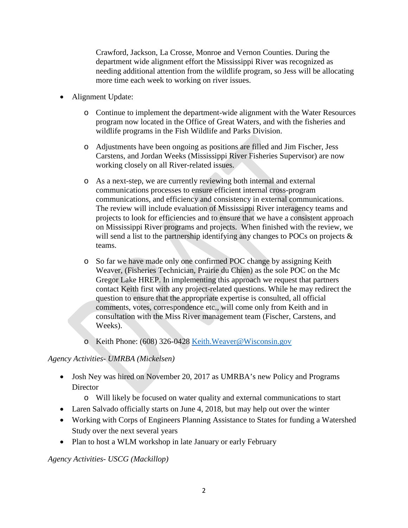Crawford, Jackson, La Crosse, Monroe and Vernon Counties. During the department wide alignment effort the Mississippi River was recognized as needing additional attention from the wildlife program, so Jess will be allocating more time each week to working on river issues.

- Alignment Update:
	- o Continue to implement the department-wide alignment with the Water Resources program now located in the Office of Great Waters, and with the fisheries and wildlife programs in the Fish Wildlife and Parks Division.
	- o Adjustments have been ongoing as positions are filled and Jim Fischer, Jess Carstens, and Jordan Weeks (Mississippi River Fisheries Supervisor) are now working closely on all River-related issues.
	- o As a next-step, we are currently reviewing both internal and external communications processes to ensure efficient internal cross-program communications, and efficiency and consistency in external communications. The review will include evaluation of Mississippi River interagency teams and projects to look for efficiencies and to ensure that we have a consistent approach on Mississippi River programs and projects. When finished with the review, we will send a list to the partnership identifying any changes to POCs on projects  $\&$ teams.
	- o So far we have made only one confirmed POC change by assigning Keith Weaver, (Fisheries Technician, Prairie du Chien) as the sole POC on the Mc Gregor Lake HREP. In implementing this approach we request that partners contact Keith first with any project-related questions. While he may redirect the question to ensure that the appropriate expertise is consulted, all official comments, votes, correspondence etc., will come only from Keith and in consultation with the Miss River management team (Fischer, Carstens, and Weeks).
	- o Keith Phone: (608) 326-0428 [Keith.Weaver@Wisconsin.gov](mailto:Keith.Weaver@Wisconsin.gov)

## *Agency Activities- UMRBA (Mickelsen)*

- Josh Ney was hired on November 20, 2017 as UMRBA's new Policy and Programs **Director** 
	- o Will likely be focused on water quality and external communications to start
- Laren Salvado officially starts on June 4, 2018, but may help out over the winter
- Working with Corps of Engineers Planning Assistance to States for funding a Watershed Study over the next several years
- Plan to host a WLM workshop in late January or early February

*Agency Activities- USCG (Mackillop)*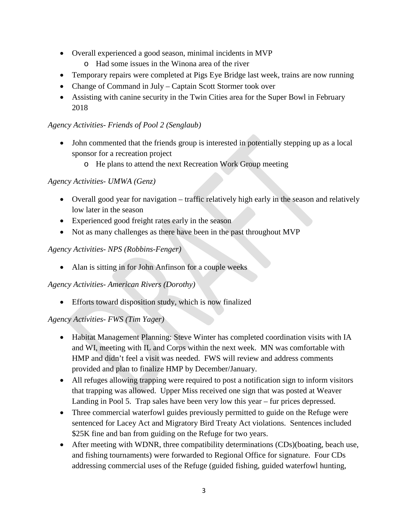- Overall experienced a good season, minimal incidents in MVP
	- o Had some issues in the Winona area of the river
- Temporary repairs were completed at Pigs Eye Bridge last week, trains are now running
- Change of Command in July Captain Scott Stormer took over
- Assisting with canine security in the Twin Cities area for the Super Bowl in February 2018

## *Agency Activities- Friends of Pool 2 (Senglaub)*

- John commented that the friends group is interested in potentially stepping up as a local sponsor for a recreation project
	- o He plans to attend the next Recreation Work Group meeting

## *Agency Activities- UMWA (Genz)*

- Overall good year for navigation traffic relatively high early in the season and relatively low later in the season
- Experienced good freight rates early in the season
- Not as many challenges as there have been in the past throughout MVP

## *Agency Activities- NPS (Robbins-Fenger)*

• Alan is sitting in for John Anfinson for a couple weeks

## *Agency Activities- American Rivers (Dorothy)*

• Efforts toward disposition study, which is now finalized

## *Agency Activities- FWS (Tim Yager)*

- Habitat Management Planning: Steve Winter has completed coordination visits with IA and WI, meeting with IL and Corps within the next week. MN was comfortable with HMP and didn't feel a visit was needed. FWS will review and address comments provided and plan to finalize HMP by December/January.
- All refuges allowing trapping were required to post a notification sign to inform visitors that trapping was allowed. Upper Miss received one sign that was posted at Weaver Landing in Pool 5. Trap sales have been very low this year – fur prices depressed.
- Three commercial waterfowl guides previously permitted to guide on the Refuge were sentenced for Lacey Act and Migratory Bird Treaty Act violations. Sentences included \$25K fine and ban from guiding on the Refuge for two years.
- After meeting with WDNR, three compatibility determinations (CDs)(boating, beach use, and fishing tournaments) were forwarded to Regional Office for signature. Four CDs addressing commercial uses of the Refuge (guided fishing, guided waterfowl hunting,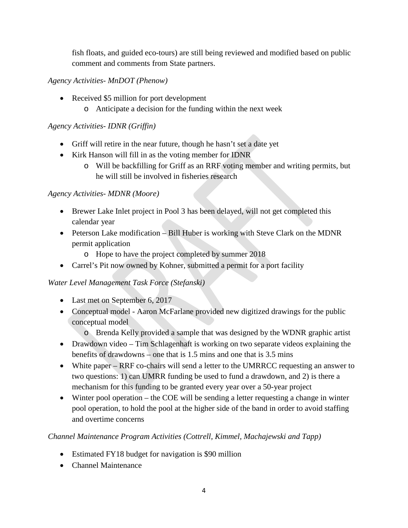fish floats, and guided eco-tours) are still being reviewed and modified based on public comment and comments from State partners.

# *Agency Activities- MnDOT (Phenow)*

- Received \$5 million for port development
	- o Anticipate a decision for the funding within the next week

# *Agency Activities- IDNR (Griffin)*

- Griff will retire in the near future, though he hasn't set a date yet
- Kirk Hanson will fill in as the voting member for IDNR
	- o Will be backfilling for Griff as an RRF voting member and writing permits, but he will still be involved in fisheries research

# *Agency Activities- MDNR (Moore)*

- Brewer Lake Inlet project in Pool 3 has been delayed, will not get completed this calendar year
- Peterson Lake modification Bill Huber is working with Steve Clark on the MDNR permit application
	- o Hope to have the project completed by summer 2018
- Carrel's Pit now owned by Kohner, submitted a permit for a port facility

# *Water Level Management Task Force (Stefanski)*

- Last met on September 6, 2017
- Conceptual model Aaron McFarlane provided new digitized drawings for the public conceptual model
	- o Brenda Kelly provided a sample that was designed by the WDNR graphic artist
- Drawdown video Tim Schlagenhaft is working on two separate videos explaining the benefits of drawdowns – one that is 1.5 mins and one that is 3.5 mins
- White paper RRF co-chairs will send a letter to the UMRRCC requesting an answer to two questions: 1) can UMRR funding be used to fund a drawdown, and 2) is there a mechanism for this funding to be granted every year over a 50-year project
- Winter pool operation the COE will be sending a letter requesting a change in winter pool operation, to hold the pool at the higher side of the band in order to avoid staffing and overtime concerns

# *Channel Maintenance Program Activities (Cottrell, Kimmel, Machajewski and Tapp)*

- Estimated FY18 budget for navigation is \$90 million
- Channel Maintenance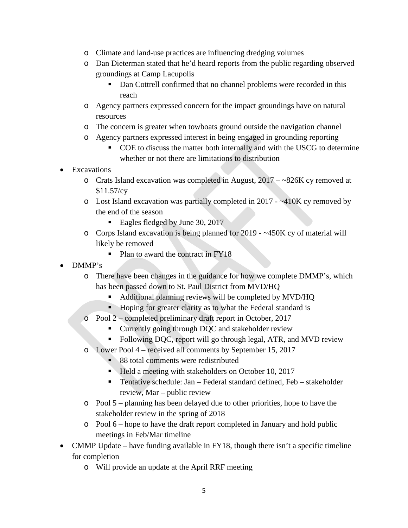- o Climate and land-use practices are influencing dredging volumes
- o Dan Dieterman stated that he'd heard reports from the public regarding observed groundings at Camp Lacupolis
	- Dan Cottrell confirmed that no channel problems were recorded in this reach
- o Agency partners expressed concern for the impact groundings have on natural resources
- o The concern is greater when towboats ground outside the navigation channel
- o Agency partners expressed interest in being engaged in grounding reporting
	- COE to discuss the matter both internally and with the USCG to determine whether or not there are limitations to distribution
- **Excavations** 
	- o Crats Island excavation was completed in August, 2017 ~826K cy removed at \$11.57/cy
	- o Lost Island excavation was partially completed in 2017 ~410K cy removed by the end of the season
		- Eagles fledged by June 30, 2017
	- o Corps Island excavation is being planned for 2019 ~450K cy of material will likely be removed
		- Plan to award the contract in FY18
- DMMP's
	- o There have been changes in the guidance for how we complete DMMP's, which has been passed down to St. Paul District from MVD/HQ
		- Additional planning reviews will be completed by MVD/HQ
		- Hoping for greater clarity as to what the Federal standard is
	- o Pool 2 completed preliminary draft report in October, 2017
		- **Currently going through DQC and stakeholder review**
		- Following DQC, report will go through legal, ATR, and MVD review
	- o Lower Pool 4 received all comments by September 15, 2017
		- 88 total comments were redistributed
		- $\blacksquare$  Held a meeting with stakeholders on October 10, 2017
		- Tentative schedule: Jan Federal standard defined, Feb stakeholder review, Mar – public review
	- o Pool 5 planning has been delayed due to other priorities, hope to have the stakeholder review in the spring of 2018
	- o Pool 6 hope to have the draft report completed in January and hold public meetings in Feb/Mar timeline
- CMMP Update have funding available in FY18, though there isn't a specific timeline for completion
	- o Will provide an update at the April RRF meeting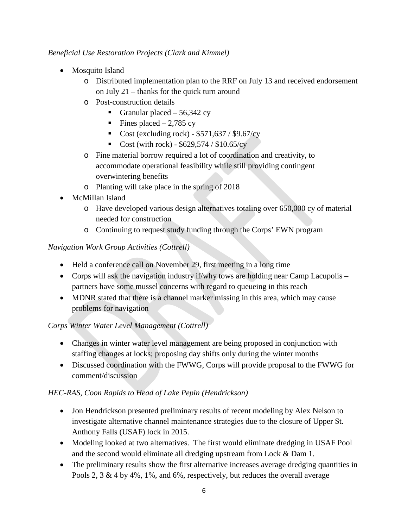## *Beneficial Use Restoration Projects (Clark and Kimmel)*

- Mosquito Island
	- o Distributed implementation plan to the RRF on July 13 and received endorsement on July 21 – thanks for the quick turn around
	- o Post-construction details
		- Granular placed  $-56,342$  cy
		- Fines placed  $-2,785$  cy
		- Cost (excluding rock)  $$571,637 / $9.67/\text{cy}$
		- Cost (with rock)  $$629,574 / $10.65 / cy$
	- o Fine material borrow required a lot of coordination and creativity, to accommodate operational feasibility while still providing contingent overwintering benefits
	- o Planting will take place in the spring of 2018
- McMillan Island
	- o Have developed various design alternatives totaling over 650,000 cy of material needed for construction
	- o Continuing to request study funding through the Corps' EWN program

# *Navigation Work Group Activities (Cottrell)*

- Held a conference call on November 29, first meeting in a long time
- Corps will ask the navigation industry if  $\psi$  tows are holding near Camp Lacupolis partners have some mussel concerns with regard to queueing in this reach
- MDNR stated that there is a channel marker missing in this area, which may cause problems for navigation

# *Corps Winter Water Level Management (Cottrell)*

- Changes in winter water level management are being proposed in conjunction with staffing changes at locks; proposing day shifts only during the winter months
- Discussed coordination with the FWWG, Corps will provide proposal to the FWWG for comment/discussion

# *HEC-RAS, Coon Rapids to Head of Lake Pepin (Hendrickson)*

- Jon Hendrickson presented preliminary results of recent modeling by Alex Nelson to investigate alternative channel maintenance strategies due to the closure of Upper St. Anthony Falls (USAF) lock in 2015.
- Modeling looked at two alternatives. The first would eliminate dredging in USAF Pool and the second would eliminate all dredging upstream from Lock & Dam 1.
- The preliminary results show the first alternative increases average dredging quantities in Pools 2, 3 & 4 by 4%, 1%, and 6%, respectively, but reduces the overall average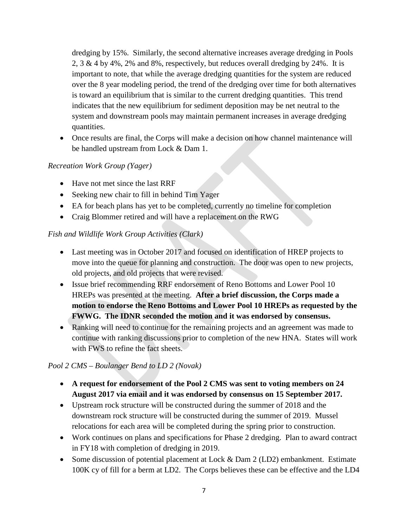dredging by 15%. Similarly, the second alternative increases average dredging in Pools 2,  $3 \& 4$  by  $4\%$ ,  $2\%$  and  $8\%$ , respectively, but reduces overall dredging by  $24\%$ . It is important to note, that while the average dredging quantities for the system are reduced over the 8 year modeling period, the trend of the dredging over time for both alternatives is toward an equilibrium that is similar to the current dredging quantities. This trend indicates that the new equilibrium for sediment deposition may be net neutral to the system and downstream pools may maintain permanent increases in average dredging quantities.

• Once results are final, the Corps will make a decision on how channel maintenance will be handled upstream from Lock & Dam 1.

## *Recreation Work Group (Yager)*

- Have not met since the last RRF
- Seeking new chair to fill in behind Tim Yager
- EA for beach plans has yet to be completed, currently no timeline for completion
- Craig Blommer retired and will have a replacement on the RWG

## *Fish and Wildlife Work Group Activities (Clark)*

- Last meeting was in October 2017 and focused on identification of HREP projects to move into the queue for planning and construction. The door was open to new projects, old projects, and old projects that were revised.
- Issue brief recommending RRF endorsement of Reno Bottoms and Lower Pool 10 HREPs was presented at the meeting. **After a brief discussion, the Corps made a motion to endorse the Reno Bottoms and Lower Pool 10 HREPs as requested by the FWWG. The IDNR seconded the motion and it was endorsed by consensus.**
- Ranking will need to continue for the remaining projects and an agreement was made to continue with ranking discussions prior to completion of the new HNA. States will work with FWS to refine the fact sheets.

## *Pool 2 CMS – Boulanger Bend to LD 2 (Novak)*

- **A request for endorsement of the Pool 2 CMS was sent to voting members on 24 August 2017 via email and it was endorsed by consensus on 15 September 2017.**
- Upstream rock structure will be constructed during the summer of 2018 and the downstream rock structure will be constructed during the summer of 2019. Mussel relocations for each area will be completed during the spring prior to construction.
- Work continues on plans and specifications for Phase 2 dredging. Plan to award contract in FY18 with completion of dredging in 2019.
- Some discussion of potential placement at Lock & Dam 2 (LD2) embankment. Estimate 100K cy of fill for a berm at LD2. The Corps believes these can be effective and the LD4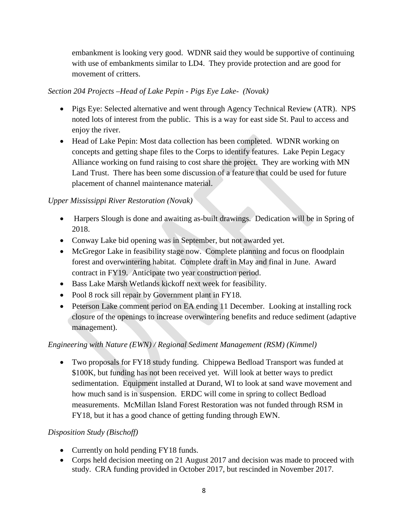embankment is looking very good. WDNR said they would be supportive of continuing with use of embankments similar to LD4. They provide protection and are good for movement of critters.

## *Section 204 Projects –Head of Lake Pepin - Pigs Eye Lake- (Novak)*

- Pigs Eye: Selected alternative and went through Agency Technical Review (ATR). NPS noted lots of interest from the public. This is a way for east side St. Paul to access and enjoy the river.
- Head of Lake Pepin: Most data collection has been completed. WDNR working on concepts and getting shape files to the Corps to identify features. Lake Pepin Legacy Alliance working on fund raising to cost share the project. They are working with MN Land Trust. There has been some discussion of a feature that could be used for future placement of channel maintenance material.

# *Upper Mississippi River Restoration (Novak)*

- Harpers Slough is done and awaiting as-built drawings. Dedication will be in Spring of 2018.
- Conway Lake bid opening was in September, but not awarded yet.
- McGregor Lake in feasibility stage now. Complete planning and focus on floodplain forest and overwintering habitat. Complete draft in May and final in June. Award contract in FY19. Anticipate two year construction period.
- Bass Lake Marsh Wetlands kickoff next week for feasibility.
- Pool 8 rock sill repair by Government plant in FY18.
- Peterson Lake comment period on EA ending 11 December. Looking at installing rock closure of the openings to increase overwintering benefits and reduce sediment (adaptive management).

# *Engineering with Nature (EWN) / Regional Sediment Management (RSM) (Kimmel)*

• Two proposals for FY18 study funding. Chippewa Bedload Transport was funded at \$100K, but funding has not been received yet. Will look at better ways to predict sedimentation. Equipment installed at Durand, WI to look at sand wave movement and how much sand is in suspension. ERDC will come in spring to collect Bedload measurements. McMillan Island Forest Restoration was not funded through RSM in FY18, but it has a good chance of getting funding through EWN.

# *Disposition Study (Bischoff)*

- Currently on hold pending FY18 funds.
- Corps held decision meeting on 21 August 2017 and decision was made to proceed with study. CRA funding provided in October 2017, but rescinded in November 2017.